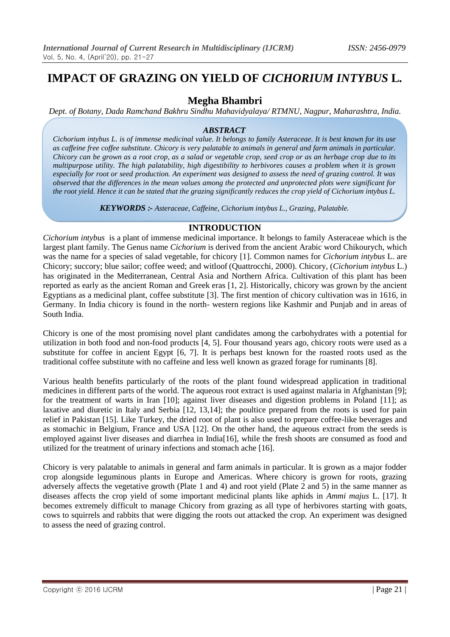# **IMPACT OF GRAZING ON YIELD OF** *CICHORIUM INTYBUS* **L***.*

# **Megha Bhambri**

*Dept. of Botany, Dada Ramchand Bakhru Sindhu Mahavidyalaya/ RTMNU, Nagpur, Maharashtra, India.*

#### *ABSTRACT*

*Cichorium intybus L. is of immense medicinal value. It belongs to family Asteraceae. It is best known for its use as caffeine free coffee substitute. Chicory is very palatable to animals in general and farm animals in particular. Chicory can be grown as a root crop, as a salad or vegetable crop, seed crop or as an herbage crop due to its multipurpose utility. The high palatability, high digestibility to herbivores causes a problem when it is grown especially for root or seed production. An experiment was designed to assess the need of grazing control. It was observed that the differences in the mean values among the protected and unprotected plots were significant for the root yield. Hence it can be stated that the grazing significantly reduces the crop yield of Cichorium intybus L.*

*KEYWORDS :- Asteraceae, Caffeine, Cichorium intybus L., Grazing*, *Palatable.*

# **INTRODUCTION**

*Cichorium intybus* is a plant of immense medicinal importance. It belongs to family Asteraceae which is the largest plant family. The Genus name *Cichorium* is derived from the ancient Arabic word Chikourych, which was the name for a species of salad vegetable, for chicory [1]. Common names for *Cichorium intybus* L. are Chicory; succory; blue sailor; coffee weed; and witloof (Quattrocchi, 2000). Chicory, (*Cichorium intybus* L.) has originated in the Mediterranean, Central Asia and Northern Africa. Cultivation of this plant has been reported as early as the ancient Roman and Greek eras [1, 2]. Historically, chicory was grown by the ancient Egyptians as a medicinal plant, coffee substitute [3]. The first mention of chicory cultivation was in 1616, in Germany. In India chicory is found in the north- western regions like Kashmir and Punjab and in areas of South India.

Chicory is one of the most promising novel plant candidates among the carbohydrates with a potential for utilization in both food and non-food products [4, 5]. Four thousand years ago, chicory roots were used as a substitute for coffee in ancient Egypt [6, 7]. It is perhaps best known for the roasted roots used as the traditional coffee substitute with no caffeine and less well known as grazed forage for ruminants [8].

Various health benefits particularly of the roots of the plant found widespread application in traditional medicines in different parts of the world. The aqueous root extract is used against malaria in Afghanistan [9]; for the treatment of warts in Iran [10]; against liver diseases and digestion problems in Poland [11]; as laxative and diuretic in Italy and Serbia [12, 13,14]; the poultice prepared from the roots is used for pain relief in Pakistan [15]. Like Turkey, the dried root of plant is also used to prepare coffee-like beverages and as stomachic in Belgium, France and USA [12]. On the other hand, the aqueous extract from the seeds is employed against liver diseases and diarrhea in India[16], while the fresh shoots are consumed as food and utilized for the treatment of urinary infections and stomach ache [16].

Chicory is very palatable to animals in general and farm animals in particular. It is grown as a major fodder crop alongside leguminous plants in Europe and Americas. Where chicory is grown for roots, grazing adversely affects the vegetative growth (Plate 1 and 4) and root yield (Plate 2 and 5) in the same manner as diseases affects the crop yield of some important medicinal plants like aphids in *Ammi majus* L. [17]. It becomes extremely difficult to manage Chicory from grazing as all type of herbivores starting with goats, cows to squirrels and rabbits that were digging the roots out attacked the crop. An experiment was designed to assess the need of grazing control.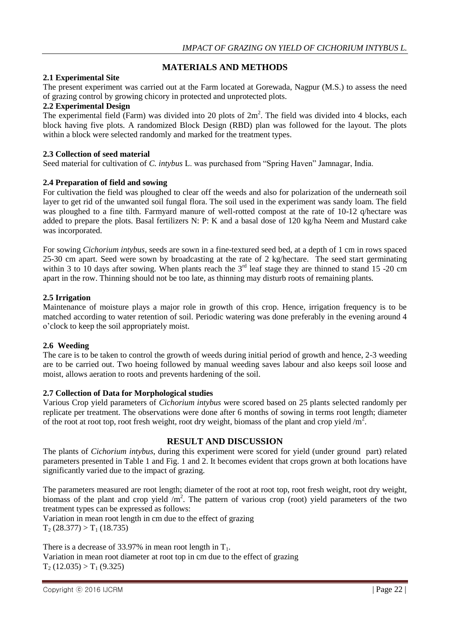# **MATERIALS AND METHODS**

#### **2.1 Experimental Site**

The present experiment was carried out at the Farm located at Gorewada, Nagpur (M.S.) to assess the need of grazing control by growing chicory in protected and unprotected plots.

#### **2.2 Experimental Design**

The experimental field (Farm) was divided into 20 plots of  $2m^2$ . The field was divided into 4 blocks, each block having five plots. A randomized Block Design (RBD) plan was followed for the layout. The plots within a block were selected randomly and marked for the treatment types.

#### **2.3 Collection of seed material**

Seed material for cultivation of *C. intybus* L. was purchased from "Spring Haven" Jamnagar, India.

# **2.4 Preparation of field and sowing**

For cultivation the field was ploughed to clear off the weeds and also for polarization of the underneath soil layer to get rid of the unwanted soil fungal flora. The soil used in the experiment was sandy loam. The field was ploughed to a fine tilth. Farmyard manure of well-rotted compost at the rate of 10-12 q/hectare was added to prepare the plots. Basal fertilizers N: P: K and a basal dose of 120 kg/ha Neem and Mustard cake was incorporated.

For sowing *Cichorium intybus*, seeds are sown in a fine-textured seed bed, at a depth of 1 cm in rows spaced 25-30 cm apart. Seed were sown by broadcasting at the rate of 2 kg/hectare. The seed start germinating within 3 to 10 days after sowing. When plants reach the  $3<sup>rd</sup>$  leaf stage they are thinned to stand 15 -20 cm apart in the row. Thinning should not be too late, as thinning may disturb roots of remaining plants.

#### **2.5 Irrigation**

Maintenance of moisture plays a major role in growth of this crop. Hence, irrigation frequency is to be matched according to water retention of soil. Periodic watering was done preferably in the evening around 4 o'clock to keep the soil appropriately moist.

# **2.6 Weeding**

The care is to be taken to control the growth of weeds during initial period of growth and hence, 2-3 weeding are to be carried out. Two hoeing followed by manual weeding saves labour and also keeps soil loose and moist, allows aeration to roots and prevents hardening of the soil.

#### **2.7 Collection of Data for Morphological studies**

Various Crop yield parameters of *Cichorium intybus* were scored based on 25 plants selected randomly per replicate per treatment. The observations were done after 6 months of sowing in terms root length; diameter of the root at root top, root fresh weight, root dry weight, biomass of the plant and crop yield  $/m^2$ .

# **RESULT AND DISCUSSION**

The plants of *Cichorium intybus*, during this experiment were scored for yield (under ground part) related parameters presented in Table 1 and Fig. 1 and 2. It becomes evident that crops grown at both locations have significantly varied due to the impact of grazing.

The parameters measured are root length; diameter of the root at root top, root fresh weight, root dry weight, biomass of the plant and crop yield  $\overline{m^2}$ . The pattern of various crop (root) yield parameters of the two treatment types can be expressed as follows:

Variation in mean root length in cm due to the effect of grazing  $T_2$  (28.377) >  $T_1$  (18.735)

There is a decrease of 33.97% in mean root length in  $T_1$ . Variation in mean root diameter at root top in cm due to the effect of grazing  $T_2$  (12.035) >  $T_1$  (9.325)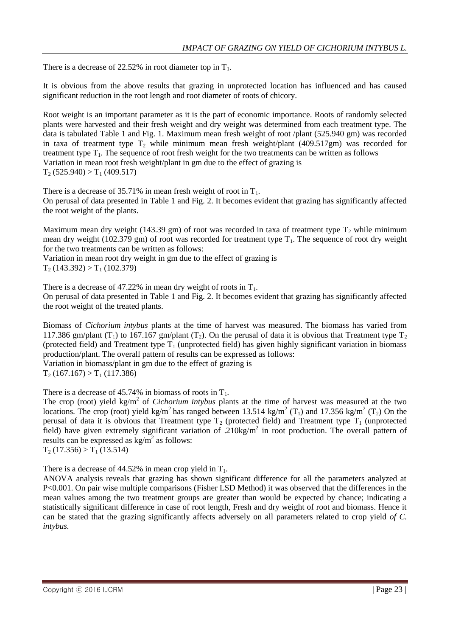There is a decrease of 22.52% in root diameter top in  $T_1$ .

It is obvious from the above results that grazing in unprotected location has influenced and has caused significant reduction in the root length and root diameter of roots of chicory.

Root weight is an important parameter as it is the part of economic importance. Roots of randomly selected plants were harvested and their fresh weight and dry weight was determined from each treatment type. The data is tabulated Table 1 and Fig. 1. Maximum mean fresh weight of root /plant (525.940 gm) was recorded in taxa of treatment type  $T_2$  while minimum mean fresh weight/plant (409.517gm) was recorded for treatment type  $T_1$ . The sequence of root fresh weight for the two treatments can be written as follows Variation in mean root fresh weight/plant in gm due to the effect of grazing is  $T_2$  (525.940) >  $T_1$  (409.517)

There is a decrease of 35.71% in mean fresh weight of root in  $T_1$ . On perusal of data presented in Table 1 and Fig. 2. It becomes evident that grazing has significantly affected the root weight of the plants.

Maximum mean dry weight (143.39 gm) of root was recorded in taxa of treatment type  $T_2$  while minimum mean dry weight (102.379 gm) of root was recorded for treatment type  $T_1$ . The sequence of root dry weight for the two treatments can be written as follows:

Variation in mean root dry weight in gm due to the effect of grazing is  $T_2$  (143.392) >  $T_1$  (102.379)

There is a decrease of 47.22% in mean dry weight of roots in  $T_1$ . On perusal of data presented in Table 1 and Fig. 2. It becomes evident that grazing has significantly affected the root weight of the treated plants.

Biomass of *Cichorium intybus* plants at the time of harvest was measured. The biomass has varied from 117.386 gm/plant (T<sub>1</sub>) to 167.167 gm/plant (T<sub>2</sub>). On the perusal of data it is obvious that Treatment type T<sub>2</sub> (protected field) and Treatment type  $T_1$  (unprotected field) has given highly significant variation in biomass production/plant. The overall pattern of results can be expressed as follows: Variation in biomass/plant in gm due to the effect of grazing is

 $T_2$  (167.167) >  $T_1$  (117.386)

There is a decrease of 45.74% in biomass of roots in  $T_1$ .

The crop (root) yield  $kg/m<sup>2</sup>$  of *Cichorium intybus* plants at the time of harvest was measured at the two locations. The crop (root) yield kg/m<sup>2</sup> has ranged between 13.514 kg/m<sup>2</sup> (T<sub>1</sub>) and 17.356 kg/m<sup>2</sup> (T<sub>2</sub>) On the perusal of data it is obvious that Treatment type  $T_2$  (protected field) and Treatment type  $T_1$  (unprotected field) have given extremely significant variation of .210kg/ $m^2$  in root production. The overall pattern of results can be expressed as  $\text{kg/m}^2$  as follows:  $T_2$  (17.356) >  $T_1$  (13.514)

There is a decrease of  $44.52\%$  in mean crop yield in T<sub>1</sub>.

ANOVA analysis reveals that grazing has shown significant difference for all the parameters analyzed at P<0.001. On pair wise multiple comparisons (Fisher LSD Method) it was observed that the differences in the mean values among the two treatment groups are greater than would be expected by chance; indicating a statistically significant difference in case of root length, Fresh and dry weight of root and biomass. Hence it can be stated that the grazing significantly affects adversely on all parameters related to crop yield *of C. intybus.*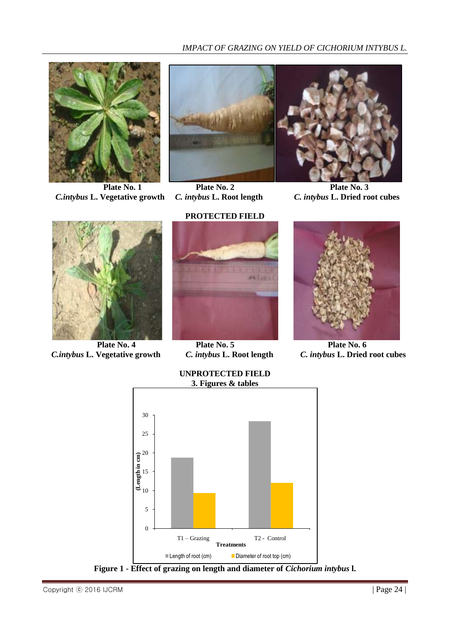

 *C.intybus* **L. Vegetative growth** *C. intybus* **L. Root length** *C. intybus* **L. Dried root cubes**





**Plate No. 1**<br>**Plate No. 2 Plate No. 3**<br>**Plate No. 3**<br>**C. intybus L. Dried root cubes** 



 *C.intybus* **L. Vegetative growth** *C. intybus* **L. Root length** *C. intybus* **L. Dried root cubes**

#### **PROTECTED FIELD**



**Plate No. 4**<br>**Plate No. 5**<br>**Plate No. 6**<br>**C.** *intybus* L. Root length *C. intybus* L. Dried

**UNPROTECTED FIELD**





**Figure 1 - Effect of grazing on length and diameter of** *Cichorium intybus* **l.**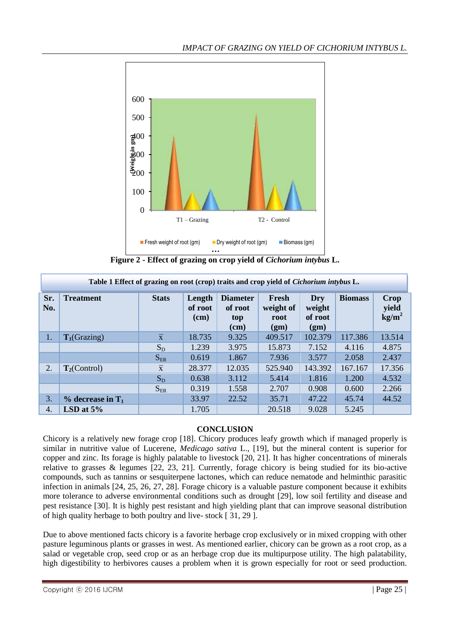

**Figure 2 - Effect of grazing on crop yield of** *Cichorium intybus* **L.**

| Table 1 Effect of grazing on root (crop) traits and crop yield of <i>Cichorium intybus</i> L. |                                 |                         |                           |                                           |                                    |                                  |                |                                           |
|-----------------------------------------------------------------------------------------------|---------------------------------|-------------------------|---------------------------|-------------------------------------------|------------------------------------|----------------------------------|----------------|-------------------------------------------|
| Sr.<br>No.                                                                                    | <b>Treatment</b>                | <b>Stats</b>            | Length<br>of root<br>(cm) | <b>Diameter</b><br>of root<br>top<br>(cm) | Fresh<br>weight of<br>root<br>(gm) | Dry<br>weight<br>of root<br>(gm) | <b>Biomass</b> | <b>Crop</b><br>yield<br>kg/m <sup>2</sup> |
| 1.                                                                                            | $T_1$ (Grazing)                 | $\overline{\mathbf{X}}$ | 18.735                    | 9.325                                     | 409.517                            | 102.379                          | 117.386        | 13.514                                    |
|                                                                                               |                                 | $S_D$                   | 1.239                     | 3.975                                     | 15.873                             | 7.152                            | 4.116          | 4.875                                     |
|                                                                                               |                                 | $S_{ER}$                | 0.619                     | 1.867                                     | 7.936                              | 3.577                            | 2.058          | 2.437                                     |
| 2.                                                                                            | $T_2$ (Control)                 | $\overline{x}$          | 28.377                    | 12.035                                    | 525.940                            | 143.392                          | 167.167        | 17.356                                    |
|                                                                                               |                                 | $S_D$                   | 0.638                     | 3.112                                     | 5.414                              | 1.816                            | 1.200          | 4.532                                     |
|                                                                                               |                                 | $S_{ER}$                | 0.319                     | 1.558                                     | 2.707                              | 0.908                            | 0.600          | 2.266                                     |
| 3.                                                                                            | $\%$ decrease in T <sub>1</sub> |                         | 33.97                     | 22.52                                     | 35.71                              | 47.22                            | 45.74          | 44.52                                     |
| 4.                                                                                            | LSD at $5%$                     |                         | 1.705                     |                                           | 20.518                             | 9.028                            | 5.245          |                                           |

# **CONCLUSION**

Chicory is a relatively new forage crop [18]. Chicory produces leafy growth which if managed properly is similar in nutritive value of Lucerene, *Medicago sativa* L., [19], but the mineral content is superior for copper and zinc. Its forage is highly palatable to livestock [20, 21]. It has higher concentrations of minerals relative to grasses & legumes [22, 23, 21]. Currently, forage chicory is being studied for its bio-active compounds, such as tannins or sesquiterpene lactones, which can reduce nematode and helminthic parasitic infection in animals [24, 25, 26, 27, 28]. Forage chicory is a valuable pasture component because it exhibits more tolerance to adverse environmental conditions such as drought [29], low soil fertility and disease and pest resistance [30]. It is highly pest resistant and high yielding plant that can improve seasonal distribution of high quality herbage to both poultry and live- stock [ 31, 29 ].

Due to above mentioned facts chicory is a favorite herbage crop exclusively or in mixed cropping with other pasture leguminous plants or grasses in west. As mentioned earlier, chicory can be grown as a root crop, as a salad or vegetable crop, seed crop or as an herbage crop due its multipurpose utility. The high palatability, high digestibility to herbivores causes a problem when it is grown especially for root or seed production.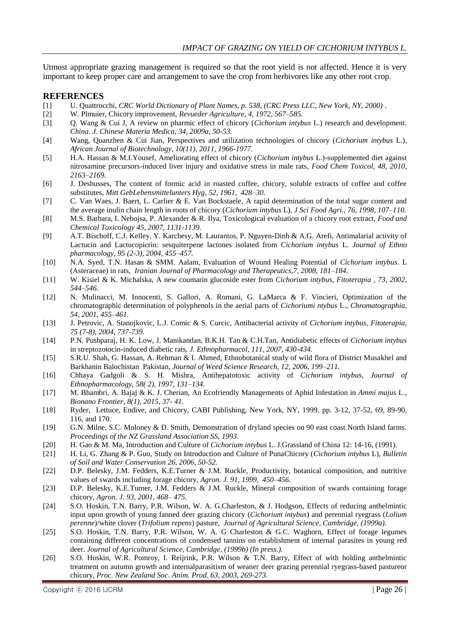Utmost appropriate grazing management is required so that the root yield is not affected. Hence it is very important to keep proper care and arrangement to save the crop from herbivores like any other root crop.

#### **REFERENCES**

- [1] U. Quattrocchi, *CRC World Dictionary of Plant Names, p. 538, (CRC Press LLC, New York, NY, 2000) .*
- [2] W. Plmuier, Chicory improvement, *Revueder Agriculture, 4, 1972, 567–585.*
- [3] Q. Wang & Cui J, A review on pharmic effect of chicory (*Cichorium intybus* L.) research and development. *China. J. Chinese Materia Medica, 34, 2009a, 50-53.*
- [4] Wang, Quanzhen & Cui Jian, Perspectives and utilization technologies of chicory (*Cichorium intybus* L.), *African Journal of Biotechnology, 10(11), 2011, 1966-1977.*
- [5] H.A. Hassan & M.I.Yousef, Ameliorating effect of chicory (*Cichorium intybus* L.)-supplemented diet against nitrosamine precursors-induced liver injury and oxidative stress in male rats, *Food Chem Toxicol, 48, 2010, 2163–2169.*
- [6] J. Deshusses, The content of formic acid in roasted coffee, chicory, soluble extracts of coffee and coffee substitutes, *Mitt GebLebensmittelunters Hyg, 52, 1961, 428–30*.
- [7] C. Van Waes, J. Baert, L. Carlier & E. Van Bockstaele, A rapid determination of the total sugar content and the average inulin chain length in roots of chicory (*Cichorium intybus* L), *J Sci Food Agri., 76, 1998, 107–110.*
- [8] M.S. Barbara, I. Nebojsa, P. Alexander & R. Ilya, Toxicological evaluation of a chicory root extract, *Food and Chemical Toxicology 45, 2007, 1131-1139.*
- [9] A.T. Bischoff, C.J. Kelley, Y. Karchesy, M. Laurantos, P. Nguyen-Dinh & A.G. Arefi, Antimalarial activity of Lactucin and Lactucopicrin: sesquiterpene lactones isolated from *Cichorium intybus* L. *Journal of Ethno pharmacology, 95 (2-3), 2004, 455–457.*
- [10] N.A. Syed, T.N. Hasan & SMM. Aalam, Evaluation of Wound Healing Potential of *Cichorium intybus*. L (Asteraceae) in rats, *Iranian Journal of Pharmacology and Therapeutics,7, 2008, 181–184.*
- [11] W. Kisiel & K. Michalska, A new coumarin glucoside ester from *Cichorium intybus*, *Fitoterapia , 73, 2002, 544–546.*
- [12] N. Mulinacci, M. Innocenti, S. Gallori, A. Romani, G. LaMarca & F. Vincieri, Optimization of the chromatographic determination of polyphenols in the aerial parts of *Cichoriumi ntybus* L., *Chromatographia, 54, 2001, 455–461.*
- [13] J. Petrovic, A. Stanojkovic, L.J. Comic & S. Curcic, Antibacterial activity of *Cichorium intybus*, *Fitoterapia, 75 (7-8), 2004, 737-739.*
- [14] P.N. Pushparaj, H. K. Low, J. Manikandan, B.K.H. Tan & C.H.Tan, Antidiabetic effects of *Cichorium intybus* in streptozotocin-induced diabetic rats*, J. Ethnopharmacol, 111, 2007, 430-434.*
- [15] S.R.U. Shah, G. Hassan, A. Rehman & I. Ahmed, Ethnobotanical study of wild flora of District Musakhel and Barkhanin Balochistan Pakistan, *Journal of Weed Science Research, 12, 2006, 199–211.*
- [16] Chhaya Gadgoli & S. H. Mishra, Antihepatotoxic activity of *Cichorium intybus, Journal of Ethnopharmacology, 58( 2), 1997, 131–134.*
- [17] M. Bhambri, A. Bajaj & K. J. Cherian, An Ecofriendly Managements of Aphid Infestation in *Ammi majus* L., *Bionano Frontier, 8(1), 2015, 37- 41.*
- [18] Ryder, Lettuce, Endive, and Chicory, CABI Publishing, New York, NY, 1999, pp. 3-12, 37-52, 69, 89-90, 116, and 170.
- [19] G.N. Milne, S.C. Moloney & D. Smith, Demonstration of dryland species on 90 east coast North Island farms. *Proceedings of the NZ Grassland Association SS, 1993.*
- [20] H. Gao & M. Ma, Introduction and Culture of *Cichorium intybus* L. J.Grassland of China 12: 14-16, (1991).
- [21] H. Li, G. Zhang & P. Guo, Study on Introduction and Culture of PunaChicory (*Cichorium intybus* L), *Bulletin of Soil and Water Conservation 26, 2006, 50-52.*
- [22] D.P. Belesky, J.M. Fedders, K.E.Turner & J.M. Ruckle, Productivity, botanical composition, and nutritive values of swards including forage chicory, *Agron. J. 91, 1999, 450–456.*
- [23] D.P. Belesky, K.E.Turner, J.M. Fedders & J.M. Ruckle, Mineral composition of swards containing forage chicory, *Agron. J. 93, 2001, 468– 475.*
- [24] S.O. Hoskin, T.N. Barry, P.R. Wilson, W. A. G.Charleston, & J. Hodgson, Effects of reducing anthelmintic input upon growth of young fanned deer grazing chicory (*Cichorium intybus*) and perennial ryegrass (*Lolium perenne*)/white clover (*Trifolium repens*) pasture*, Journal of Agricultural Science, Cambridge, (1999a).*
- [25] S.O. Hoskin, T.N. Barry, P.R. Wilson, W. A. G Charleston & G.C. Waghorn, Effect of forage legumes containing different concentrations of condensed tannins on establishment of internal parasites in young red deer. *Journal of Agricultural Science, Cambridge, (1999b) (In press.).*
- [26] S.O. Hoskin, W.R. Pomroy, I. Reijrink, P.R. Wilson & T.N. Barry, Effect of with holding anthelmintic treatment on autumn growth and internalparasitism of weaner deer grazing perennial ryegrass-based pastureor chicory, *Proc. New Zealand Soc. Anim. Prod. 63, 2003, 269-273.*